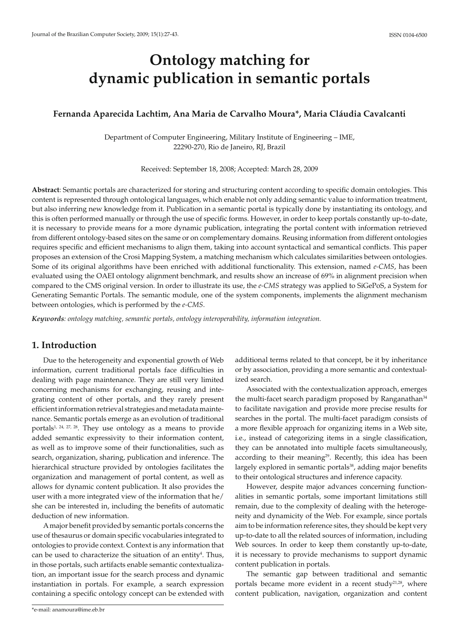# **Ontology matching for dynamic publication in semantic portals**

## **Fernanda Aparecida Lachtim, Ana Maria de Carvalho Moura\*, Maria Cláudia Cavalcanti**

Department of Computer Engineering, Military Institute of Engineering – IME, 22290-270, Rio de Janeiro, RJ, Brazil

Received: September 18, 2008; Accepted: March 28, 2009

**Abstract**: Semantic portals are characterized for storing and structuring content according to specific domain ontologies. This content is represented through ontological languages, which enable not only adding semantic value to information treatment, but also inferring new knowledge from it. Publication in a semantic portal is typically done by instantiating its ontology, and this is often performed manually or through the use of specific forms. However, in order to keep portals constantly up-to-date, it is necessary to provide means for a more dynamic publication, integrating the portal content with information retrieved from different ontology-based sites on the same or on complementary domains. Reusing information from different ontologies requires specific and efficient mechanisms to align them, taking into account syntactical and semantical conflicts. This paper proposes an extension of the Crosi Mapping System, a matching mechanism which calculates similarities between ontologies. Some of its original algorithms have been enriched with additional functionality. This extension, named *e-CMS*, has been evaluated using the OAEI ontology alignment benchmark, and results show an increase of 69% in alignment precision when compared to the CMS original version. In order to illustrate its use, the *e-CMS* strategy was applied to SiGePoS, a System for Generating Semantic Portals. The semantic module, one of the system components, implements the alignment mechanism between ontologies, which is performed by the *e-CMS*.

*Keywords: ontology matching, semantic portals, ontology interoperability, information integration.*

## **1. Introduction**

Due to the heterogeneity and exponential growth of Web information, current traditional portals face difficulties in dealing with page maintenance. They are still very limited concerning mechanisms for exchanging, reusing and integrating content of other portals, and they rarely present efficient information retrieval strategies and metadata maintenance. Semantic portals emerge as an evolution of traditional portals<sup>1, 24, 27, 28</sup>. They use ontology as a means to provide added semantic expressivity to their information content, as well as to improve some of their functionalities, such as search, organization, sharing, publication and inference. The hierarchical structure provided by ontologies facilitates the organization and management of portal content, as well as allows for dynamic content publication. It also provides the user with a more integrated view of the information that he/ she can be interested in, including the benefits of automatic deduction of new information.

A major benefit provided by semantic portals concerns the use of thesaurus or domain specific vocabularies integrated to ontologies to provide context. Context is any information that can be used to characterize the situation of an entity<sup>4</sup>. Thus, in those portals, such artifacts enable semantic contextualization, an important issue for the search process and dynamic instantiation in portals. For example, a search expression containing a specific ontology concept can be extended with

additional terms related to that concept, be it by inheritance or by association, providing a more semantic and contextualized search.

Associated with the contextualization approach, emerges the multi-facet search paradigm proposed by Ranganathan<sup>34</sup> to facilitate navigation and provide more precise results for searches in the portal. The multi-facet paradigm consists of a more flexible approach for organizing items in a Web site, i.e., instead of categorizing items in a single classification, they can be annotated into multiple facets simultaneously, according to their meaning $29$ . Recently, this idea has been largely explored in semantic portals<sup>38</sup>, adding major benefits to their ontological structures and inference capacity.

However, despite major advances concerning functionalities in semantic portals, some important limitations still remain, due to the complexity of dealing with the heterogeneity and dynamicity of the Web. For example, since portals aim to be information reference sites, they should be kept very up-to-date to all the related sources of information, including Web sources. In order to keep them constantly up-to-date, it is necessary to provide mechanisms to support dynamic content publication in portals.

The semantic gap between traditional and semantic portals became more evident in a recent study<sup>21,28</sup>, where content publication, navigation, organization and content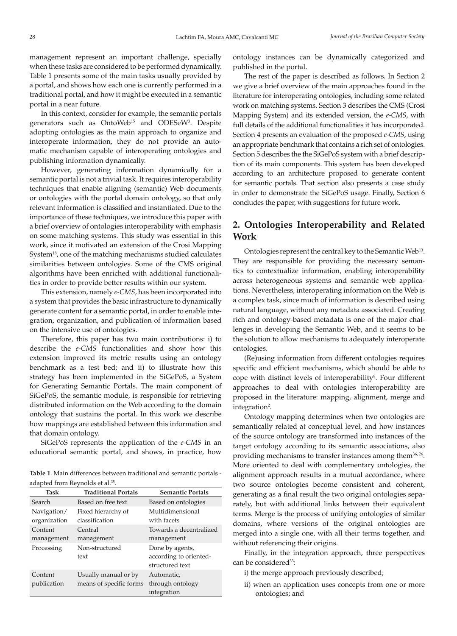management represent an important challenge, specially when these tasks are considered to be performed dynamically. Table 1 presents some of the main tasks usually provided by a portal, and shows how each one is currently performed in a traditional portal, and how it might be executed in a semantic portal in a near future.

In this context, consider for example, the semantic portals generators such as OntoWeb<sup>15</sup> and ODESeW<sup>3</sup>. Despite adopting ontologies as the main approach to organize and interoperate information, they do not provide an automatic mechanism capable of interoperating ontologies and publishing information dynamically.

However, generating information dynamically for a semantic portal is not a trivial task. It requires interoperability techniques that enable aligning (semantic) Web documents or ontologies with the portal domain ontology, so that only relevant information is classified and instantiated. Due to the importance of these techniques, we introduce this paper with a brief overview of ontologies interoperability with emphasis on some matching systems. This study was essential in this work, since it motivated an extension of the Crosi Mapping System<sup>18</sup>, one of the matching mechanisms studied calculates similarities between ontologies. Some of the CMS original algorithms have been enriched with additional functionalities in order to provide better results within our system.

This extension, namely *e-CMS*, has been incorporated into a system that provides the basic infrastructure to dynamically generate content for a semantic portal, in order to enable integration, organization, and publication of information based on the intensive use of ontologies.

Therefore, this paper has two main contributions: i) to describe the *e-CMS* functionalities and show how this extension improved its metric results using an ontology benchmark as a test bed; and ii) to illustrate how this strategy has been implemented in the SiGePoS, a System for Generating Semantic Portals. The main component of SiGePoS, the semantic module, is responsible for retrieving distributed information on the Web according to the domain ontology that sustains the portal. In this work we describe how mappings are established between this information and that domain ontology.

SiGePoS represents the application of the *e-CMS* in an educational semantic portal, and shows, in practice, how

**Table 1**. Main differences between traditional and semantic portals adapted from Reynolds et al.35.

| Task                   | <b>Traditional Portals</b>                      | <b>Semantic Portals</b>                                      |
|------------------------|-------------------------------------------------|--------------------------------------------------------------|
| Search                 | Based on free text                              | Based on ontologies                                          |
| Navigation/            | Fixed hierarchy of                              | Multidimensional                                             |
| organization           | classification                                  | with facets                                                  |
| Content                | Central                                         | Towards a decentralized                                      |
| management             | management                                      | management                                                   |
| Processing             | Non-structured<br>text                          | Done by agents,<br>according to oriented-<br>structured text |
| Content<br>publication | Usually manual or by<br>means of specific forms | Automatic,<br>through ontology<br>integration                |

ontology instances can be dynamically categorized and published in the portal.

The rest of the paper is described as follows. In Section 2 we give a brief overview of the main approaches found in the literature for interoperating ontologies, including some related work on matching systems. Section 3 describes the CMS (Crosi Mapping System) and its extended version, the *e-CMS*, with full details of the additional functionalities it has incorporated. Section 4 presents an evaluation of the proposed *e-CMS*, using an appropriate benchmark that contains a rich set of ontologies. Section 5 describes the the SiGePoS system with a brief description of its main components. This system has been developed according to an architecture proposed to generate content for semantic portals. That section also presents a case study in order to demonstrate the SiGePoS usage. Finally, Section 6 concludes the paper, with suggestions for future work.

# **2. Ontologies Interoperability and Related Work**

Ontologies represent the central key to the Semantic Web13. They are responsible for providing the necessary semantics to contextualize information, enabling interoperability across heterogeneous systems and semantic web applications. Nevertheless, interoperating information on the Web is a complex task, since much of information is described using natural language, without any metadata associated. Creating rich and ontology-based metadata is one of the major challenges in developing the Semantic Web, and it seems to be the solution to allow mechanisms to adequately interoperate ontologies.

(Re)using information from different ontologies requires specific and efficient mechanisms, which should be able to cope with distinct levels of interoperability<sup>9</sup>. Four different approaches to deal with ontologies interoperability are proposed in the literature: mapping, alignment, merge and integration<sup>2</sup>.

Ontology mapping determines when two ontologies are semantically related at conceptual level, and how instances of the source ontology are transformed into instances of the target ontology according to its semantic associations, also providing mechanisms to transfer instances among them<sup>36, 26</sup>. More oriented to deal with complementary ontologies, the alignment approach results in a mutual accordance, where two source ontologies become consistent and coherent, generating as a final result the two original ontologies separately, but with additional links between their equivalent terms. Merge is the process of unifying ontologies of similar domains, where versions of the original ontologies are merged into a single one, with all their terms together, and without referencing their origins.

Finally, in the integration approach, three perspectives can be considered<sup>33</sup>:

i) the merge approach previously described;

ii) when an application uses concepts from one or more ontologies; and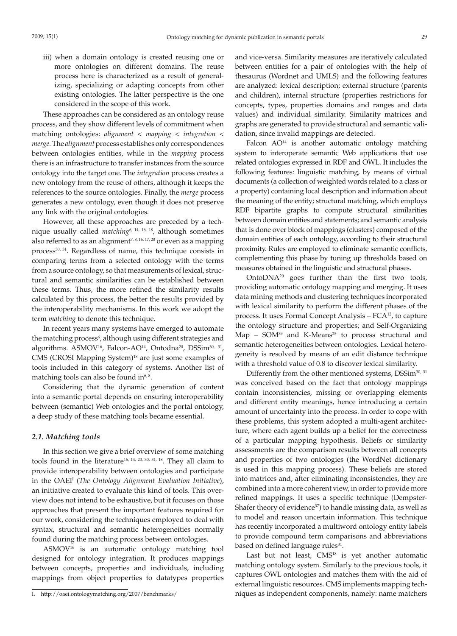iii) when a domain ontology is created reusing one or more ontologies on different domains. The reuse process here is characterized as a result of generalizing, specializing or adapting concepts from other existing ontologies. The latter perspective is the one considered in the scope of this work.

These approaches can be considered as an ontology reuse process, and they show different levels of commitment when matching ontologies: *alignment < mapping < integration < merge.* The *alignment* process establishes only correspondences between ontologies entities, while in the *mapping* process there is an infrastructure to transfer instances from the source ontology into the target one. The *integration* process creates a new ontology from the reuse of others, although it keeps the references to the source ontologies. Finally, the *merge* process generates a new ontology, even though it does not preserve any link with the original ontologies.

However, all these approaches are preceded by a technique usually called *matching*6, 14, 16, 18*,* although sometimes also referred to as an alignment<sup>7,8, 16, 17, 20</sup> or even as a mapping process<sup>30, 31</sup>. Regardless of name, this technique consists in comparing terms from a selected ontology with the terms from a source ontology, so that measurements of lexical, structural and semantic similarities can be established between these terms. Thus, the more refined the similarity results calculated by this process, the better the results provided by the interoperability mechanisms. In this work we adopt the term *matching* to denote this technique.

In recent years many systems have emerged to automate the matching process<sup>6</sup>, although using different strategies and algorithms. ASMOV<sup>16</sup>, Falcon-AO<sup>14</sup>, Ontodna<sup>20</sup>, DSSim<sup>30, 31</sup>, CMS (CROSI Mapping System)<sup>18</sup> are just some examples of tools included in this category of systems. Another list of matching tools can also be found in<sup>6,8</sup>.

Considering that the dynamic generation of content into a semantic portal depends on ensuring interoperability between (semantic) Web ontologies and the portal ontology, a deep study of these matching tools became essential.

#### *2.1. Matching tools*

In this section we give a brief overview of some matching tools found in the literature<sup>16, 14, 20, 30, 31, 18</sup>. They all claim to provide interoperability between ontologies and participate in the OAEII (*The Ontology Alignment Evaluation Initiative*), an initiative created to evaluate this kind of tools. This overview does not intend to be exhaustive, but it focuses on those approaches that present the important features required for our work, considering the techniques employed to deal with syntax, structural and semantic heterogeneities normally found during the matching process between ontologies.

ASMOV16 is an automatic ontology matching tool designed for ontology integration. It produces mappings between concepts, properties and individuals, including mappings from object properties to datatypes properties and vice-versa. Similarity measures are iteratively calculated between entities for a pair of ontologies with the help of thesaurus (Wordnet and UMLS) and the following features are analyzed: lexical description; external structure (parents and children), internal structure (properties restrictions for concepts, types, properties domains and ranges and data values) and individual similarity. Similarity matrices and graphs are generated to provide structural and semantic validation, since invalid mappings are detected.

Falcon AO<sup>14</sup> is another automatic ontology matching system to interoperate semantic Web applications that use related ontologies expressed in RDF and OWL. It includes the following features: linguistic matching, by means of virtual documents (a collection of weighted words related to a class or a property) containing local description and information about the meaning of the entity; structural matching, which employs RDF bipartite graphs to compute structural similarities between domain entities and statements; and semantic analysis that is done over block of mappings (clusters) composed of the domain entities of each ontology, according to their structural proximity. Rules are employed to eliminate semantic conflicts, complementing this phase by tuning up thresholds based on measures obtained in the linguistic and structural phases.

OntoDNA20 goes further than the first two tools, providing automatic ontology mapping and merging. It uses data mining methods and clustering techniques incorporated with lexical similarity to perform the different phases of the process. It uses Formal Concept Analysis – FCA<sup>12</sup>, to capture the ontology structure and properties; and Self-Organizing Map –  $SOM^{39}$  and K-Means<sup>25</sup> to process structural and semantic heterogeneities between ontologies. Lexical heterogeneity is resolved by means of an edit distance technique with a threshold value of 0.8 to discover lexical similarity.

Differently from the other mentioned systems, DSSim<sup>30, 31</sup> was conceived based on the fact that ontology mappings contain inconsistencies, missing or overlapping elements and different entity meanings, hence introducing a certain amount of uncertainty into the process. In order to cope with these problems, this system adopted a multi-agent architecture, where each agent builds up a belief for the correctness of a particular mapping hypothesis. Beliefs or similarity assessments are the comparison results between all concepts and properties of two ontologies (the WordNet dictionary is used in this mapping process). These beliefs are stored into matrices and, after eliminating inconsistencies, they are combined into a more coherent view, in order to provide more refined mappings. It uses a specific technique (Dempster-Shafer theory of evidence<sup>37</sup>) to handle missing data, as well as to model and reason uncertain information. This technique has recently incorporated a multiword ontology entity labels to provide compound term comparisons and abbreviations based on defined language rules<sup>31</sup>.

Last but not least, CMS<sup>18</sup> is yet another automatic matching ontology system. Similarly to the previous tools, it captures OWL ontologies and matches them with the aid of external linguistic resources. CMS implements mapping techniques as independent components, namely: name matchers

I. http://oaei.ontologymatching.org/2007/benchmarks/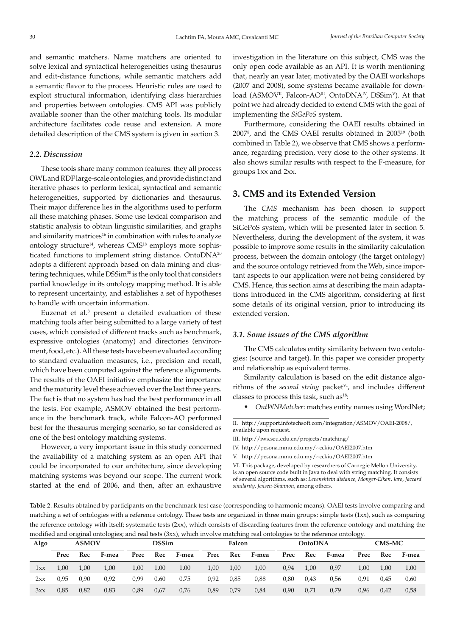and semantic matchers. Name matchers are oriented to solve lexical and syntactical heterogeneities using thesaurus and edit-distance functions, while semantic matchers add a semantic flavor to the process. Heuristic rules are used to exploit structural information, identifying class hierarchies and properties between ontologies. CMS API was publicly available sooner than the other matching tools. Its modular architecture facilitates code reuse and extension. A more detailed description of the CMS system is given in section 3.

#### *2.2. Discussion*

These tools share many common features: they all process OWL and RDF large-scale ontologies, and provide distinct and iterative phases to perform lexical, syntactical and semantic heterogeneities, supported by dictionaries and thesaurus. Their major difference lies in the algorithms used to perform all these matching phases. Some use lexical comparison and statistic analysis to obtain linguistic similarities, and graphs and similarity matrices<sup>16</sup> in combination with rules to analyze ontology structure<sup>14</sup>, whereas  $CMS<sup>18</sup>$  employs more sophisticated functions to implement string distance. OntoDNA<sup>20</sup> adopts a different approach based on data mining and clustering techniques, while DSSim<sup>30</sup> is the only tool that considers partial knowledge in its ontology mapping method. It is able to represent uncertainty, and establishes a set of hypotheses to handle with uncertain information.

Euzenat et al.<sup>8</sup> present a detailed evaluation of these matching tools after being submitted to a large variety of test cases, which consisted of different tracks such as benchmark, expressive ontologies (anatomy) and directories (environment, food, etc.). All these tests have been evaluated according to standard evaluation measures, i.e., precision and recall, which have been computed against the reference alignments. The results of the OAEI initiative emphasize the importance and the maturity level these achieved over the last three years. The fact is that no system has had the best performance in all the tests. For example, ASMOV obtained the best performance in the benchmark track, while Falcon-AO performed best for the thesaurus merging scenario, so far considered as one of the best ontology matching systems.

However, a very important issue in this study concerned the availability of a matching system as an open API that could be incorporated to our architecture, since developing matching systems was beyond our scope. The current work started at the end of 2006, and then, after an exhaustive investigation in the literature on this subject, CMS was the only open code available as an API. It is worth mentioning that, nearly an year later, motivated by the OAEI workshops (2007 and 2008), some systems became available for download (ASMOV<sup>II</sup>, Falcon-AO<sup>III</sup>, OntoDNA<sup>IV</sup>, DSSim<sup>V</sup>). At that point we had already decided to extend CMS with the goal of implementing the *SiGePoS* system.

Furthermore, considering the OAEI results obtained in 20078 , and the CMS OAEI results obtained in 200519 (both combined in Table 2), we observe that CMS shows a performance, regarding precision, very close to the other systems. It also shows similar results with respect to the F-measure, for groups 1xx and 2xx.

## **3. CMS and its Extended Version**

The *CMS* mechanism has been chosen to support the matching process of the semantic module of the SiGePoS system, which will be presented later in section 5. Nevertheless, during the development of the system, it was possible to improve some results in the similarity calculation process, between the domain ontology (the target ontology) and the source ontology retrieved from the Web, since important aspects to our application were not being considered by CMS. Hence, this section aims at describing the main adaptations introduced in the CMS algorithm, considering at first some details of its original version, prior to introducing its extended version.

#### *3.1. Some issues of the CMS algorithm*

The CMS calculates entity similarity between two ontologies: (source and target). In this paper we consider property and relationship as equivalent terms.

Similarity calculation is based on the edit distance algorithms of the *second string* packet<sup>VI</sup>, and includes different classes to process this task, such as<sup>18</sup>:

*OntWNMatcher*: matches entity names using WordNet;

VI. This package, developed by researchers of Carnegie Mellon University, is an open source code built in Java to deal with string matching. It consists of several algorithms, such as: *Levenshtein distance, Monger-Elkan, Jaro, Jaccard similarity, Jensen-Shannon*, among others.

**Table 2**. Results obtained by participants on the benchmark test case (corresponding to harmonic means). OAEI tests involve comparing and matching a set of ontologies with a reference ontology. These tests are organized in three main groups: simple tests (1xx), such as comparing the reference ontology with itself; systematic tests (2xx), which consists of discarding features from the reference ontology and matching the modified and original ontologies; and real tests (3xx), which involve matching real ontologies to the reference ontology.

| Algo |      | <b>ASMOV</b> |       |      | <b>DSSim</b> |       |      | Falcon |       |      | <b>OntoDNA</b> |       |      | CMS-MC |       |
|------|------|--------------|-------|------|--------------|-------|------|--------|-------|------|----------------|-------|------|--------|-------|
|      | Prec | Rec          | F-mea | Prec | Rec          | F-mea | Prec | Rec    | F-mea | Prec | Rec            | F-mea | Prec | Rec    | F-mea |
| 1xx  | 1,00 | 1,00         | 1,00  | 1,00 | 1,00         | 1,00  | 1,00 | 1,00   | 1,00  | 0,94 | 1,00           | 0,97  | 1,00 | 1,00   | 1,00  |
| 2xx  | 0.95 | 0.90         | 0,92  | 0.99 | 0,60         | 0,75  | 0,92 | 0,85   | 0,88  | 0,80 | 0.43           | 0,56  | 0,91 | 0.45   | 0,60  |
| 3xx  | 0,85 | 0,82         | 0,83  | 0,89 | 0,67         | 0,76  | 0,89 | 0,79   | 0,84  | 0,90 | 0,71           | 0,79  | 0,96 | 0,42   | 0,58  |

II. http://support.infotechsoft.com/integration/ASMOV/OAEI-2008/, available upon request.

III. http://iws.seu.edu.cn/projects/matching/

IV. http://pesona.mmu.edu.my/~cckiu/OAEI2007.htm

V. http://pesona.mmu.edu.my/~cckiu/OAEI2007.htm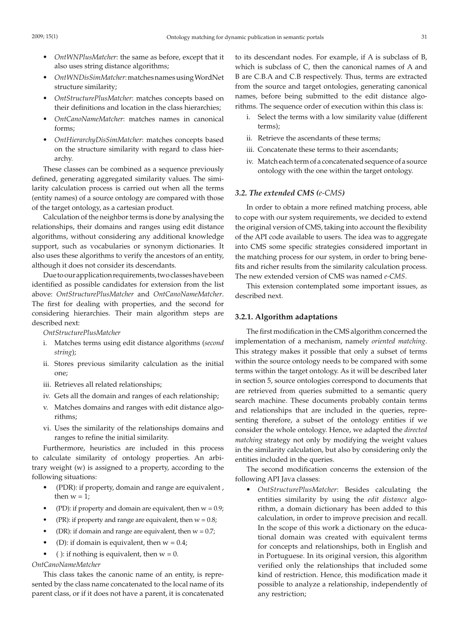- *OntWNPlusMatcher*: the same as before, except that it also uses string distance algorithms;
- OntWNDisSimMatcher: matches names using WordNet structure similarity;
- *OntStructurePlusMatcher*: matches concepts based on their definitions and location in the class hierarchies;
- *OntCanoNameMatcher: matches names in canonical* forms;
- OntHierarchyDisSimMatcher: matches concepts based on the structure similarity with regard to class hierarchy.

These classes can be combined as a sequence previously defined, generating aggregated similarity values. The similarity calculation process is carried out when all the terms (entity names) of a source ontology are compared with those of the target ontology, as a cartesian product.

Calculation of the neighbor terms is done by analysing the relationships, their domains and ranges using edit distance algorithms, without considering any additional knowledge support, such as vocabularies or synonym dictionaries. It also uses these algorithms to verify the ancestors of an entity, although it does not consider its descendants.

Due to our application requirements, two classes have been identified as possible candidates for extension from the list above: OntStructurePlusMatcher and OntCanoNameMatcher. The first for dealing with properties, and the second for considering hierarchies. Their main algorithm steps are described next:

*OntStructurePlusMatcher*

- i. Matches terms using edit distance algorithms (*second string*);
- ii. Stores previous similarity calculation as the initial one;
- iii. Retrieves all related relationships;
- iv. Gets all the domain and ranges of each relationship;
- v. Matches domains and ranges with edit distance algorithms;
- vi. Uses the similarity of the relationships domains and ranges to refine the initial similarity.

Furthermore, heuristics are included in this process to calculate similarity of ontology properties. An arbitrary weight (w) is assigned to a property, according to the following situations:

- *s* (PDR): if property, domain and range are equivalent , then  $w = 1$ ;
- $(PD)$ : if property and domain are equivalent, then  $w = 0.9$ ;
- (PR): if property and range are equivalent, then  $w = 0.8$ ;
- *s* (DR): if domain and range are equivalent, then w = 0.7;
- (D): if domain is equivalent, then  $w = 0.4$ ;
- $\alpha$  ): if nothing is equivalent, then  $w = 0$ .

## $OntCanoNameMatcher$

This class takes the canonic name of an entity, is represented by the class name concatenated to the local name of its parent class, or if it does not have a parent, it is concatenated to its descendant nodes. For example, if A is subclass of B, which is subclass of C, then the canonical names of A and B are C.B.A and C.B respectively. Thus, terms are extracted from the source and target ontologies, generating canonical names, before being submitted to the edit distance algorithms. The sequence order of execution within this class is:

- i. Select the terms with a low similarity value (different terms);
- ii. Retrieve the ascendants of these terms;
- iii. Concatenate these terms to their ascendants;
- iv. Match each term of a concatenated sequence of a source ontology with the one within the target ontology.

#### *3.2. The extended CMS (e-CMS)*

In order to obtain a more refined matching process, able to cope with our system requirements, we decided to extend the original version of CMS, taking into account the flexibility of the API code available to users. The idea was to aggregate into CMS some specific strategies considered important in the matching process for our system, in order to bring benefits and richer results from the similarity calculation process. The new extended version of CMS was named *e-CMS*.

This extension contemplated some important issues, as described next.

#### **3.2.1. Algorithm adaptations**

The first modification in the CMS algorithm concerned the implementation of a mechanism, namely *oriented matching*. This strategy makes it possible that only a subset of terms within the source ontology needs to be compared with some terms within the target ontology. As it will be described later in section 5, source ontologies correspond to documents that are retrieved from queries submitted to a semantic query search machine. These documents probably contain terms and relationships that are included in the queries, representing therefore, a subset of the ontology entities if we consider the whole ontology. Hence, we adapted the *directed matching* strategy not only by modifying the weight values in the similarity calculation, but also by considering only the entities included in the queries.

The second modification concerns the extension of the following API Java classes:

• OntStructurePlusMatcher: Besides calculating the entities similarity by using the *edit distance* algorithm, a domain dictionary has been added to this calculation, in order to improve precision and recall. In the scope of this work a dictionary on the educational domain was created with equivalent terms for concepts and relationships, both in English and in Portuguese. In its original version, this algorithm verified only the relationships that included some kind of restriction. Hence, this modification made it possible to analyze a relationship, independently of any restriction;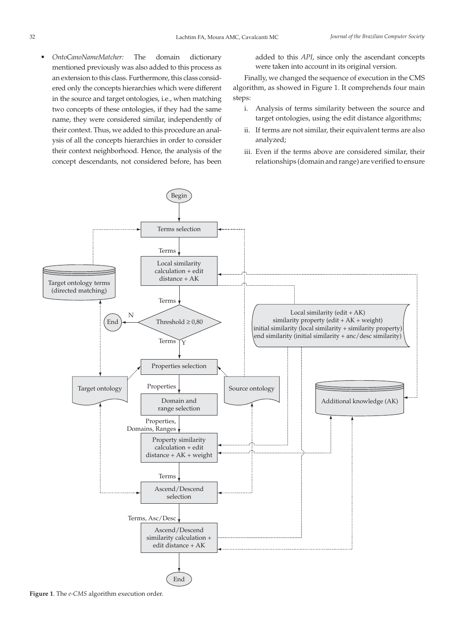*OntoCanoNameMatcher*: The domain dictionary mentioned previously was also added to this process as an extension to this class. Furthermore, this class considered only the concepts hierarchies which were different in the source and target ontologies, i.e., when matching two concepts of these ontologies, if they had the same name, they were considered similar, independently of their context. Thus, we added to this procedure an analysis of all the concepts hierarchies in order to consider their context neighborhood. Hence, the analysis of the concept descendants, not considered before, has been added to this *API*, since only the ascendant concepts were taken into account in its original version.

Finally, we changed the sequence of execution in the CMS algorithm, as showed in Figure 1. It comprehends four main steps:

- i. Analysis of terms similarity between the source and target ontologies, using the edit distance algorithms;
- ii. If terms are not similar, their equivalent terms are also analyzed;
- iii. Even if the terms above are considered similar, their relationships (domain and range) are verified to ensure



**Figure 1**. The *e-CMS* algorithm execution order.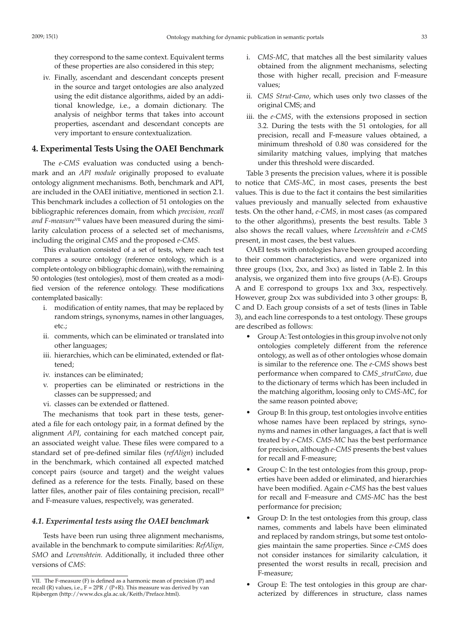they correspond to the same context. Equivalent terms of these properties are also considered in this step;

iv. Finally, ascendant and descendant concepts present in the source and target ontologies are also analyzed using the edit distance algorithms, aided by an additional knowledge, i.e., a domain dictionary. The analysis of neighbor terms that takes into account properties, ascendant and descendant concepts are very important to ensure contextualization.

## **4. Experimental Tests Using the OAEI Benchmark**

The *e-CMS* evaluation was conducted using a benchmark and an *API module* originally proposed to evaluate ontology alignment mechanisms. Both, benchmark and API, are included in the OAEI initiative, mentioned in section 2.1. This benchmark includes a collection of 51 ontologies on the bibliographic references domain, from which *precision, recall and F-measure*VII values have been measured during the similarity calculation process of a selected set of mechanisms, including the original *CMS* and the proposed *e-CMS*.

This evaluation consisted of a set of tests, where each test compares a source ontology (reference ontology, which is a complete ontology on bibliographic domain), with the remaining 50 ontologies (test ontologies), most of them created as a modified version of the reference ontology. These modifications contemplated basically:

- i. modification of entity names, that may be replaced by random strings, synonyms, names in other languages, etc.;
- ii. comments, which can be eliminated or translated into other languages;
- iii. hierarchies, which can be eliminated, extended or flattened;
- iv. instances can be eliminated;
- v. properties can be eliminated or restrictions in the classes can be suppressed; and
- vi. classes can be extended or flattened.

The mechanisms that took part in these tests, generated a file for each ontology pair, in a format defined by the alignment *API*, containing for each matched concept pair, an associated weight value. These files were compared to a standard set of pre-defined similar files (*refAlign*) included in the benchmark, which contained all expected matched concept pairs (source and target) and the weight values defined as a reference for the tests. Finally, based on these latter files, another pair of files containing precision, recall<sup>19</sup> and F-measure values, respectively, was generated.

#### *4.1. Experimental tests using the OAEI benchmark*

Tests have been run using three alignment mechanisms, available in the benchmark to compute similarities: *RefAlign, SMO* and *Levenshtein.* Additionally, it included three other versions of *CMS*:

- i. *CMS-MC*, that matches all the best similarity values obtained from the alignment mechanisms, selecting those with higher recall, precision and F-measure values;
- ii. *CMS Strut-Cano*, which uses only two classes of the original CMS; and
- iii. the *e-CMS*, with the extensions proposed in section 3.2. During the tests with the 51 ontologies, for all precision, recall and F-measure values obtained, a minimum threshold of 0.80 was considered for the similarity matching values, implying that matches under this threshold were discarded.

Table 3 presents the precision values, where it is possible to notice that *CMS-MC,* in most cases, presents the best values. This is due to the fact it contains the best similarities values previously and manually selected from exhaustive tests. On the other hand, *e-CMS,* in most cases (as compared to the other algorithms), presents the best results. Table 3 also shows the recall values, where *Levenshtein* and *e-CMS* present, in most cases, the best values.

OAEI tests with ontologies have been grouped according to their common characteristics, and were organized into three groups (1xx, 2xx, and 3xx) as listed in Table 2. In this analysis, we organized them into five groups (A-E). Groups A and E correspond to groups 1xx and 3xx, respectively. However, group 2xx was subdivided into 3 other groups: B, C and D. Each group consists of a set of tests (lines in Table 3), and each line corresponds to a test ontology. These groups are described as follows:

- *s* Group A: Test ontologies in this group involve not only ontologies completely different from the reference ontology, as well as of other ontologies whose domain is similar to the reference one. The *e-CMS* shows best performance when compared to *CMS\_strutCano*, due to the dictionary of terms which has been included in the matching algorithm, loosing only to *CMS-MC*, for the same reason pointed above;
- *s* Group B: In this group, test ontologies involve entities whose names have been replaced by strings, synonyms and names in other languages, a fact that is well treated by *e-CMS*. *CMS-MC* has the best performance for precision, although *e-CMS* presents the best values for recall and F-measure;
- *s* Group C: In the test ontologies from this group, properties have been added or eliminated, and hierarchies have been modified. Again *e-CMS* has the best values for recall and F-measure and *CMS-MC* has the best performance for precision;
- *s* Group D: In the test ontologies from this group, class names, comments and labels have been eliminated and replaced by random strings, but some test ontologies maintain the same properties. Since *e-CMS* does not consider instances for similarity calculation, it presented the worst results in recall, precision and F-measure;
- Group E: The test ontologies in this group are characterized by differences in structure, class names

VII. The F-measure (F) is defined as a harmonic mean of precision (P) and recall (R) values, i.e.,  $F = 2PR / (P+R)$ . This measure was derived by van Rijsbergen (http://www.dcs.gla.ac.uk/Keith/Preface.html).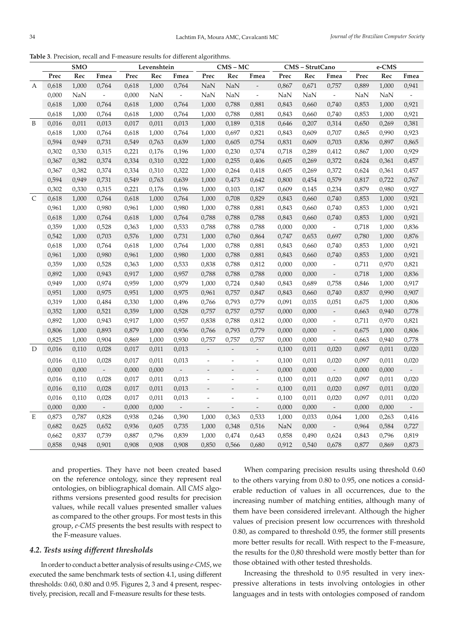**Table 3**. Precision, recall and F-measure results for different algorithms.

|   |       | <b>SMO</b> |                          |       | Levenshtein |                          |                          | $CMS - MC$               |                          | CMS-StrutCano |       |                          | e-CMS |       |                          |
|---|-------|------------|--------------------------|-------|-------------|--------------------------|--------------------------|--------------------------|--------------------------|---------------|-------|--------------------------|-------|-------|--------------------------|
|   | Prec  | Rec        | Fmea                     | Prec  | Rec         | Fmea                     | Prec                     | Rec                      | Fmea                     | Prec          | Rec   | Fmea                     | Prec  | Rec   | Fmea                     |
| А | 0,618 | 1,000      | 0,764                    | 0,618 | 1,000       | 0,764                    | NaN                      | NaN                      | $\overline{\phantom{m}}$ | 0,867         | 0,671 | 0,757                    | 0,889 | 1,000 | 0,941                    |
|   | 0,000 | NaN        | $\overline{\phantom{a}}$ | 0,000 | NaN         | $\sim$                   | NaN                      | NaN                      | $\overline{\phantom{a}}$ | NaN           | NaN   | $\overline{\phantom{a}}$ | NaN   | NaN   |                          |
|   | 0,618 | 1,000      | 0,764                    | 0,618 | 1,000       | 0,764                    | 1,000                    | 0,788                    | 0,881                    | 0,843         | 0,660 | 0,740                    | 0,853 | 1,000 | 0,921                    |
|   | 0,618 | 1,000      | 0,764                    | 0,618 | 1,000       | 0,764                    | 1,000                    | 0,788                    | 0,881                    | 0,843         | 0,660 | 0,740                    | 0,853 | 1,000 | 0,921                    |
| B | 0,016 | 0,011      | 0,013                    | 0,017 | 0,011       | 0,013                    | 1,000                    | 0,189                    | 0,318                    | 0,646         | 0,207 | 0,314                    | 0,650 | 0,269 | 0,381                    |
|   | 0,618 | 1,000      | 0,764                    | 0,618 | 1,000       | 0,764                    | 1,000                    | 0,697                    | 0,821                    | 0,843         | 0,609 | 0,707                    | 0,865 | 0,990 | 0,923                    |
|   | 0,594 | 0,949      | 0,731                    | 0,549 | 0,763       | 0,639                    | 1,000                    | 0,605                    | 0,754                    | 0,831         | 0,609 | 0,703                    | 0,836 | 0,897 | 0,865                    |
|   | 0,302 | 0,330      | 0,315                    | 0,221 | 0,176       | 0,196                    | 1,000                    | 0,230                    | 0,374                    | 0,718         | 0,289 | 0,412                    | 0,867 | 1,000 | 0,929                    |
|   | 0,367 | 0,382      | 0,374                    | 0,334 | 0,310       | 0,322                    | 1,000                    | 0,255                    | 0,406                    | 0,605         | 0,269 | 0,372                    | 0,624 | 0,361 | 0,457                    |
|   | 0,367 | 0,382      | 0,374                    | 0,334 | 0,310       | 0,322                    | 1,000                    | 0,264                    | 0,418                    | 0,605         | 0,269 | 0,372                    | 0,624 | 0,361 | 0,457                    |
|   | 0,594 | 0,949      | 0,731                    | 0,549 | 0,763       | 0,639                    | 1,000                    | 0,473                    | 0,642                    | 0,800         | 0,454 | 0,579                    | 0,817 | 0,722 | 0,767                    |
|   | 0,302 | 0,330      | 0,315                    | 0,221 | 0,176       | 0,196                    | 1,000                    | 0,103                    | 0,187                    | 0,609         | 0,145 | 0,234                    | 0,879 | 0,980 | 0,927                    |
| C | 0,618 | 1,000      | 0,764                    | 0,618 | 1,000       | 0,764                    | 1,000                    | 0,708                    | 0,829                    | 0,843         | 0,660 | 0,740                    | 0,853 | 1,000 | 0,921                    |
|   | 0,961 | 1,000      | 0,980                    | 0,961 | 1,000       | 0,980                    | 1,000                    | 0,788                    | 0,881                    | 0,843         | 0,660 | 0,740                    | 0,853 | 1,000 | 0,921                    |
|   | 0,618 | 1,000      | 0,764                    | 0,618 | 1,000       | 0,764                    | 0,788                    | 0,788                    | 0,788                    | 0,843         | 0,660 | 0,740                    | 0,853 | 1,000 | 0,921                    |
|   | 0,359 | 1,000      | 0,528                    | 0,363 | 1,000       | 0,533                    | 0,788                    | 0,788                    | 0,788                    | 0,000         | 0,000 | $\overline{\phantom{a}}$ | 0,718 | 1,000 | 0,836                    |
|   | 0,542 | 1,000      | 0,703                    | 0,576 | 1,000       | 0,731                    | 1,000                    | 0,760                    | 0,864                    | 0,747         | 0,653 | 0,697                    | 0,780 | 1,000 | 0,876                    |
|   | 0,618 | 1,000      | 0,764                    | 0,618 | 1,000       | 0,764                    | 1,000                    | 0,788                    | 0,881                    | 0,843         | 0,660 | 0,740                    | 0,853 | 1,000 | 0,921                    |
|   | 0,961 | 1,000      | 0,980                    | 0,961 | 1,000       | 0,980                    | 1,000                    | 0,788                    | 0,881                    | 0,843         | 0,660 | 0,740                    | 0,853 | 1,000 | 0,921                    |
|   | 0,359 | 1,000      | 0,528                    | 0,363 | 1,000       | 0,533                    | 0,838                    | 0,788                    | 0,812                    | 0,000         | 0,000 | $\overline{\phantom{a}}$ | 0,711 | 0,970 | 0,821                    |
|   | 0,892 | 1,000      | 0,943                    | 0,917 | 1,000       | 0,957                    | 0,788                    | 0,788                    | 0,788                    | 0,000         | 0,000 | $\overline{\phantom{a}}$ | 0,718 | 1,000 | 0,836                    |
|   | 0,949 | 1,000      | 0,974                    | 0,959 | 1,000       | 0,979                    | 1,000                    | 0,724                    | 0,840                    | 0,843         | 0,689 | 0,758                    | 0,846 | 1,000 | 0,917                    |
|   | 0,951 | 1,000      | 0,975                    | 0,951 | 1,000       | 0,975                    | 0,961                    | 0,757                    | 0,847                    | 0,843         | 0,660 | 0,740                    | 0,837 | 0,990 | 0,907                    |
|   | 0,319 | 1,000      | 0,484                    | 0,330 | 1,000       | 0,496                    | 0,766                    | 0,793                    | 0,779                    | 0,091         | 0,035 | 0,051                    | 0,675 | 1,000 | 0,806                    |
|   | 0,352 | 1,000      | 0,521                    | 0,359 | 1,000       | 0,528                    | 0,757                    | 0,757                    | 0,757                    | 0,000         | 0,000 | $\frac{1}{2}$            | 0,663 | 0,940 | 0,778                    |
|   | 0,892 | 1,000      | 0,943                    | 0,917 | 1,000       | 0,957                    | 0,838                    | 0,788                    | 0,812                    | 0,000         | 0,000 | $\overline{\phantom{a}}$ | 0,711 | 0,970 | 0,821                    |
|   | 0,806 | 1,000      | 0,893                    | 0,879 | 1,000       | 0,936                    | 0,766                    | 0,793                    | 0,779                    | 0,000         | 0,000 | $\overline{\phantom{a}}$ | 0,675 | 1,000 | 0,806                    |
|   | 0,825 | 1,000      | 0,904                    | 0,869 | 1,000       | 0,930                    | 0,757                    | 0,757                    | 0,757                    | 0,000         | 0,000 | $\overline{\phantom{a}}$ | 0,663 | 0,940 | 0,778                    |
| D | 0,016 | 0,110      | 0,028                    | 0,017 | 0,011       | 0,013                    | $\overline{\phantom{a}}$ | $\overline{\phantom{a}}$ | $\overline{\phantom{m}}$ | 0,100         | 0,011 | 0,020                    | 0,097 | 0,011 | 0,020                    |
|   | 0,016 | 0,110      | 0,028                    | 0,017 | 0,011       | 0,013                    | $\frac{1}{2}$            | $\overline{a}$           | $\overline{a}$           | 0,100         | 0,011 | 0,020                    | 0,097 | 0,011 | 0,020                    |
|   | 0,000 | 0,000      | $\overline{\phantom{a}}$ | 0,000 | 0,000       | $\overline{\phantom{a}}$ | $\overline{a}$           |                          | $\overline{a}$           | 0,000         | 0,000 | $\overline{\phantom{a}}$ | 0,000 | 0,000 | $\overline{\phantom{a}}$ |
|   | 0,016 | 0,110      | 0,028                    | 0,017 | 0,011       | 0,013                    | $\overline{\phantom{a}}$ | $\overline{\phantom{a}}$ | $\overline{\phantom{a}}$ | 0,100         | 0,011 | 0,020                    | 0,097 | 0,011 | 0,020                    |
|   | 0,016 | 0,110      | 0,028                    | 0,017 | 0,011       | 0,013                    |                          |                          |                          | 0,100         | 0,011 | 0,020                    | 0,097 | 0,011 | 0,020                    |
|   | 0,016 | 0,110      | 0,028                    | 0,017 | 0,011       | 0,013                    | $\overline{\phantom{a}}$ | $\overline{\phantom{a}}$ | $\overline{\phantom{m}}$ | 0,100         | 0,011 | 0,020                    | 0,097 | 0,011 | 0,020                    |
|   | 0,000 | 0,000      | $\bullet$                | 0,000 | 0,000       | $\overline{\phantom{a}}$ | $\overline{\phantom{a}}$ | $\overline{\phantom{a}}$ | $\overline{\phantom{a}}$ | 0,000         | 0,000 | $\overline{\phantom{a}}$ | 0,000 | 0,000 | $\overline{\phantom{a}}$ |
| E | 0,873 | 0,787      | 0,828                    | 0,938 | 0,246       | 0,390                    | 1,000                    | 0,363                    | 0,533                    | 1,000         | 0,033 | 0,064                    | 1,000 | 0,263 | 0,416                    |
|   | 0,682 | 0,625      | 0,652                    | 0,936 | 0,605       | 0,735                    | 1,000                    | 0,348                    | 0,516                    | NaN           | 0,000 | $\overline{\phantom{a}}$ | 0,964 | 0,584 | 0,727                    |
|   | 0,662 | 0,837      | 0,739                    | 0,887 | 0,796       | 0,839                    | 1,000                    | 0,474                    | 0,643                    | 0,858         | 0,490 | 0,624                    | 0,843 | 0,796 | 0,819                    |
|   | 0,858 | 0,948      | 0,901                    | 0,908 | 0,908       | 0,908                    | 0,850                    | 0,566                    | 0,680                    | 0,912         | 0,540 | 0,678                    | 0,877 | 0,869 | 0,873                    |

and properties. They have not been created based on the reference ontology, since they represent real ontologies, on bibliographical domain. All *CMS* algorithms versions presented good results for precision values, while recall values presented smaller values as compared to the other groups. For most tests in this group, *e-CMS* presents the best results with respect to the F-measure values.

#### *4.2. Tests using different thresholds*

In order to conduct a better analysis of results using *e-CMS*, we executed the same benchmark tests of section 4.1, using different thresholds: 0.60, 0.80 and 0.95. Figures 2, 3 and 4 present, respectively, precision, recall and F-measure results for these tests.

When comparing precision results using threshold 0.60 to the others varying from 0.80 to 0.95, one notices a considerable reduction of values in all occurrences, due to the increasing number of matching entities, although many of them have been considered irrelevant. Although the higher values of precision present low occurrences with threshold 0.80, as compared to threshold 0.95, the former still presents more better results for recall. With respect to the F-measure, the results for the 0,80 threshold were mostly better than for those obtained with other tested thresholds.

Increasing the threshold to 0.95 resulted in very inexpressive alterations in tests involving ontologies in other languages and in tests with ontologies composed of random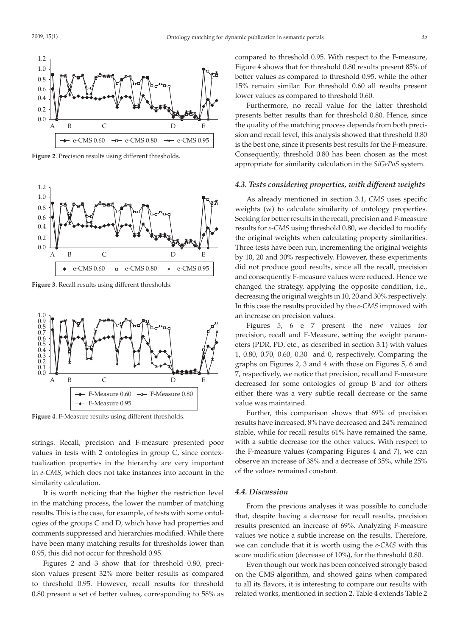

**Figure 2**. Precision results using different thresholds.



**Figure 3**. Recall results using different thresholds.



**Figure 4**. F-Measure results using different thresholds.

strings. Recall, precision and F-measure presented poor values in tests with 2 ontologies in group C, since contextualization properties in the hierarchy are very important in *e-CMS*, which does not take instances into account in the similarity calculation.

It is worth noticing that the higher the restriction level in the matching process, the lower the number of matching results. This is the case, for example, of tests with some ontologies of the groups C and D, which have had properties and comments suppressed and hierarchies modified. While there have been many matching results for thresholds lower than 0.95, this did not occur for threshold 0.95.

Figures 2 and 3 show that for threshold 0.80, precision values present 32% more better results as compared to threshold 0.95. However, recall results for threshold 0.80 present a set of better values, corresponding to 58% as

compared to threshold 0.95. With respect to the F-measure, Figure 4 shows that for threshold 0.80 results present 85% of better values as compared to threshold 0.95, while the other 15% remain similar. For threshold 0.60 all results present lower values as compared to threshold 0.60.

Furthermore, no recall value for the latter threshold presents better results than for threshold 0.80. Hence, since the quality of the matching process depends from both precision and recall level, this analysis showed that threshold 0.80 is the best one, since it presents best results for the F-measure. Consequently, threshold 0.80 has been chosen as the most appropriate for similarity calculation in the *SiGePoS* system.

#### *4.3. Tests considering properties, with different weights*

As already mentioned in section 3.1, *CMS* uses specific weights (w) to calculate similarity of ontology properties. Seeking for better results in the recall, precision and F-measure results for *e-CMS* using threshold 0.80, we decided to modify the original weights when calculating property similarities. Three tests have been run, incrementing the original weights by 10, 20 and 30% respectively. However, these experiments did not produce good results, since all the recall, precision and consequently F-measure values were reduced. Hence we changed the strategy, applying the opposite condition, i.e., decreasing the original weights in 10, 20 and 30% respectively. In this case the results provided by the *e-CMS* improved with an increase on precision values.

Figures 5, 6 e 7 present the new values for precision, recall and F-Measure, setting the weight parameters (PDR, PD, etc., as described in section 3.1) with values 1, 0.80, 0.70, 0.60, 0.30 and 0, respectively. Comparing the graphs on Figures 2, 3 and 4 with those on Figures 5, 6 and 7, respectively, we notice that precision, recall and F-measure decreased for some ontologies of group B and for others either there was a very subtle recall decrease or the same value was maintained.

Further, this comparison shows that 69% of precision results have increased, 8% have decreased and 24% remained stable, while for recall results 61% have remained the same, with a subtle decrease for the other values. With respect to the F-measure values (comparing Figures 4 and 7), we can observe an increase of 38% and a decrease of 35%, while 25% of the values remained constant.

#### *4.4. Discussion*

From the previous analyses it was possible to conclude that, despite having a decrease for recall results, precision results presented an increase of 69%. Analyzing F-measure values we notice a subtle increase on the results. Therefore, we can conclude that it is worth using the *e-CMS* with this score modification (decrease of 10%), for the threshold 0.80.

Even though our work has been conceived strongly based on the CMS algorithm, and showed gains when compared to all its flavors, it is interesting to compare our results with related works, mentioned in section 2. Table 4 extends Table 2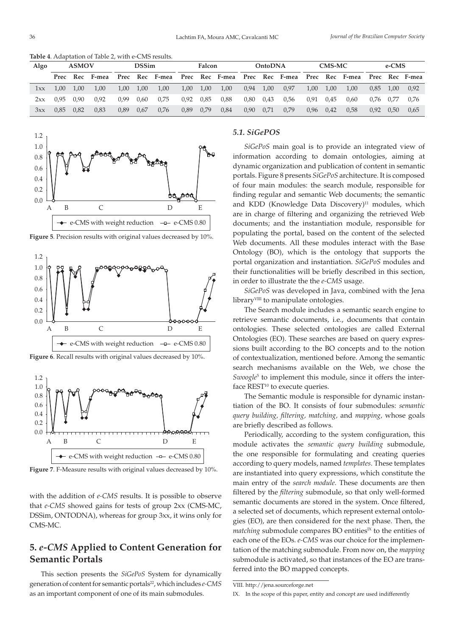**Table 4**. Adaptation of Table 2, with e-CMS results.

| Algo |           | <b>ASMOV</b> |                |      | <b>DSSim</b> |                   |      | <b>Falcon</b> |                |           | OntoDNA |                |           | CMS-MC      |                                                                            |                   | e-CMS |                      |
|------|-----------|--------------|----------------|------|--------------|-------------------|------|---------------|----------------|-----------|---------|----------------|-----------|-------------|----------------------------------------------------------------------------|-------------------|-------|----------------------|
|      |           |              | Prec Rec F-mea |      |              |                   |      |               |                |           |         |                |           |             | Prec Rec F-mea Prec Rec F-mea Prec Rec F-mea Prec Rec F-mea Prec Rec F-mea |                   |       |                      |
| 1xx  | 1,00 1,00 |              | 1.00           | 1.00 |              | 1,00 1,00         |      |               | 1,00 1,00 1,00 | 0,94 1,00 |         | $-0.97$        |           |             | 1,00 1,00 1,00                                                             |                   |       | $0.85$ $1.00$ $0.92$ |
| 2xx  | 0.95 0.90 |              | 0.92           | 0.99 |              | $0.60\qquad 0.75$ |      |               | 0.92 0.85 0.88 |           |         | 0.80 0.43 0.56 | 0.91 0.45 |             | 0.60                                                                       | 0.76 0.77         |       | 0.76                 |
| 3xx  | 0.85 0.82 |              | 0.83           | 0.89 | 0.67         | 0,76              | 0,89 | 0,79          | 0,84           | 0.90 0.71 |         | 0,79           |           | $0.96$ 0.42 | 0.58                                                                       | $0.92 \quad 0.50$ |       | 0.65                 |



**Figure 5**. Precision results with original values decreased by 10%.



**Figure 6**. Recall results with original values decreased by 10%.



**Figure 7**. F-Measure results with original values decreased by 10%.

with the addition of *e-CMS* results. It is possible to observe that *e-CMS* showed gains for tests of group 2xx (CMS-MC, DSSim, ONTODNA), whereas for group 3xx, it wins only for CMS-MC.

# **5.** *e-CMS* **Applied to Content Generation for Semantic Portals**

This section presents the *SiGePoS* System for dynamically generation of content for semantic portals<sup>22</sup>, which includes  $e$ -CMS as an important component of one of its main submodules.

#### *5.1. SiGePOS*

*SiGePoS* main goal is to provide an integrated view of information according to domain ontologies, aiming at dynamic organization and publication of content in semantic portals. Figure 8 presents *SiGePoS* architecture. It is composed of four main modules: the search module, responsible for finding regular and semantic Web documents; the semantic and KDD (Knowledge Data Discovery)<sup>11</sup> modules, which are in charge of filtering and organizing the retrieved Web documents; and the instantiation module, responsible for populating the portal, based on the content of the selected Web documents. All these modules interact with the Base Ontology (BO), which is the ontology that supports the portal organization and instantiation. *SiGePoS* modules and their functionalities will be briefly described in this section, in order to illustrate the the *e-CMS* usage.

*SiGePoS* was developed in Java, combined with the Jena library<sup>VIII</sup> to manipulate ontologies.

The Search module includes a semantic search engine to retrieve semantic documents, i.e., documents that contain ontologies. These selected ontologies are called External Ontologies (EO). These searches are based on query expressions built according to the BO concepts and to the notion of contextualization, mentioned before. Among the semantic search mechanisms available on the Web, we chose the Swoogle<sup>5</sup> to implement this module, since it offers the interface REST<sup>10</sup> to execute queries.

The Semantic module is responsible for dynamic instantiation of the BO. It consists of four submodules: *semantic query building, filtering, matching,* and *mapping,* whose goals are briefly described as follows.

Periodically, according to the system configuration, this module activates the *semantic query building* submodule, the one responsible for formulating and creating queries according to query models, named *templates*. These templates are instantiated into query expressions, which constitute the main entry of the *search module*. These documents are then filtered by the *filtering* submodule, so that only well-formed semantic documents are stored in the system. Once filtered, a selected set of documents, which represent external ontologies (EO), are then considered for the next phase. Then, the *matching* submodule compares BO entities<sup>IX</sup> to the entities of each one of the EOs. *e-CMS* was our choice for the implementation of the matching submodule. From now on, the *mapping* submodule is activated, so that instances of the EO are transferred into the BO mapped concepts.

VIII. http://jena.sourceforge.net

IX. In the scope of this paper, entity and concept are used indifferently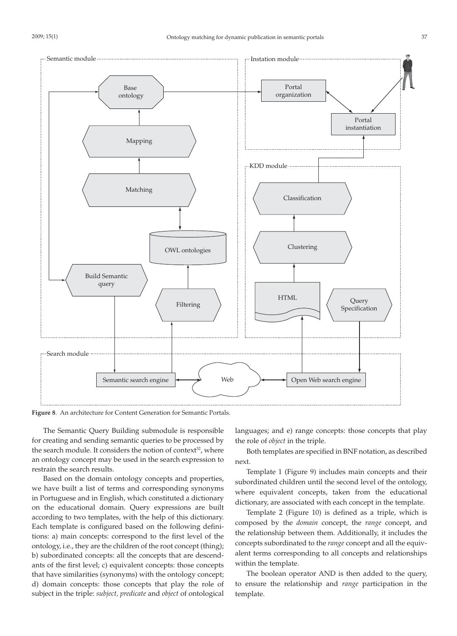

**Figure 8**. An architecture for Content Generation for Semantic Portals.

The Semantic Query Building submodule is responsible for creating and sending semantic queries to be processed by the search module. It considers the notion of context<sup>32</sup>, where an ontology concept may be used in the search expression to restrain the search results.

Based on the domain ontology concepts and properties, we have built a list of terms and corresponding synonyms in Portuguese and in English, which constituted a dictionary on the educational domain. Query expressions are built according to two templates, with the help of this dictionary. Each template is configured based on the following definitions: a) main concepts: correspond to the first level of the ontology, i.e., they are the children of the root concept (thing); b) subordinated concepts: all the concepts that are descendants of the first level; c) equivalent concepts: those concepts that have similarities (synonyms) with the ontology concept; d) domain concepts: those concepts that play the role of subject in the triple: *subject, predicate* and *object* of ontological languages; and e) range concepts: those concepts that play the role of *object* in the triple.

Both templates are specified in BNF notation, as described next.

Template 1 (Figure 9) includes main concepts and their subordinated children until the second level of the ontology, where equivalent concepts, taken from the educational dictionary, are associated with each concept in the template.

Template 2 (Figure 10) is defined as a triple, which is composed by the *domain* concept, the *range* concept, and the relationship between them. Additionally, it includes the concepts subordinated to the *range* concept and all the equivalent terms corresponding to all concepts and relationships within the template.

The boolean operator AND is then added to the query, to ensure the relationship and *range* participation in the template.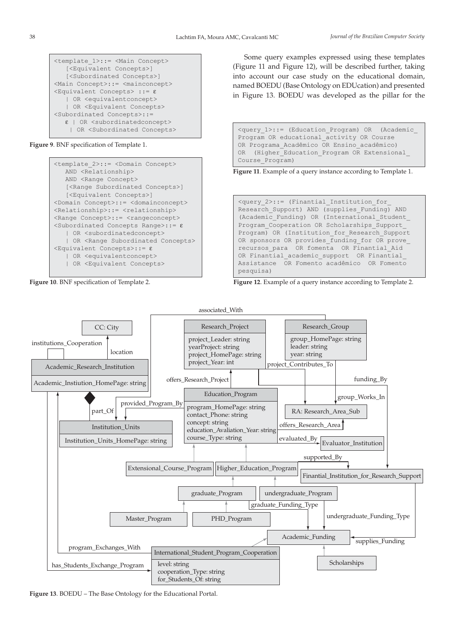

**Figure 9**. BNF specification of Template 1.



**Figure 10**. BNF specification of Template 2.

Some query examples expressed using these templates (Figure 11 and Figure 12), will be described further, taking into account our case study on the educational domain, named BOEDU (Base Ontology on EDUcation) and presented in Figure 13. BOEDU was developed as the pillar for the

<query\_1>::= (Education\_Program) OR (Academic\_ Program OR educational\_activity OR Course OR Programa\_Acadêmico OR Ensino\_acadêmico) OR (Higher Education Program OR Extensional Course\_Program)

**Figure 11**. Example of a query instance according to Template 1.

<query\_2>::= (Finantial\_Institution\_for\_ Research\_Support) AND (supplies\_Funding) AND (Academic\_Funding) OR (International\_Student\_ Program Cooperation OR Scholarships Support Program) OR (Institution for Research Support OR sponsors OR provides funding for OR prove recursos\_para OR fomenta OR Finantial\_Aid OR Finantial academic support OR Finantial Assistance OR Fomento acadêmico OR Fomento pesquisa)





**Figure 13**. BOEDU – The Base Ontology for the Educational Portal.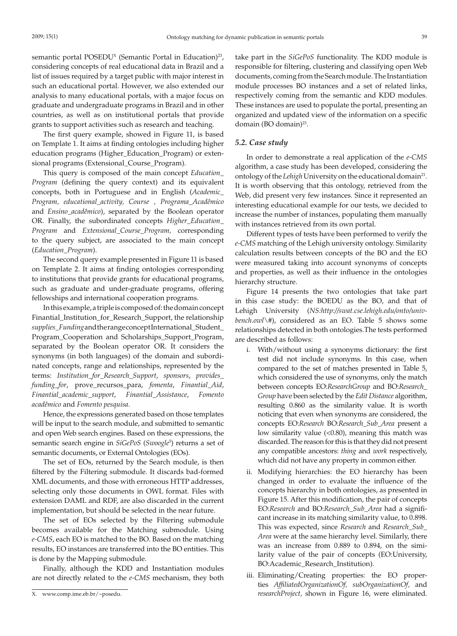semantic portal POSEDU<sup>X</sup> (Semantic Portal in Education)<sup>23</sup>, considering concepts of real educational data in Brazil and a list of issues required by a target public with major interest in such an educational portal. However, we also extended our analysis to many educational portals, with a major focus on graduate and undergraduate programs in Brazil and in other countries, as well as on institutional portals that provide grants to support activities such as research and teaching.

The first query example, showed in Figure 11, is based on Template 1. It aims at finding ontologies including higher education programs (Higher\_Education\_Program) or extensional programs (Extensional\_Course\_Program).

This query is composed of the main concept *Education\_ Program* (defining the query context) and its equivalent concepts, both in Portuguese and in English (*Academic\_ Program, educational\_activity, Course , Programa\_Acadêmico*  and *Ensino\_acadêmico*), separated by the Boolean operator OR. Finally, the subordinated concepts *Higher\_Education\_ Program* and *Extensional\_Course*\_*Program,* corresponding to the query subject, are associated to the main concept (*Education\_Program*).

The second query example presented in Figure 11 is based on Template 2. It aims at finding ontologies corresponding to institutions that provide grants for educational programs, such as graduate and under-graduate programs, offering fellowships and international cooperation programs.

In this example, a triple is composed of: the domain concept Finantial\_Institution\_for\_Research\_Support, the relationship *supplies\_Funding* and the range concept International\_Student\_ Program\_Cooperation and Scholarships\_Support\_Program, separated by the Boolean operator OR. It considers the synonyms (in both languages) of the domain and subordinated concepts, range and relationships, represented by the terms: *Institution\_for\_Research\_ Support*, *sponsors*, *provides* \_ *funding* \_*for*, prove\_recursos\_para, *fomenta*, *Finantial*\_*Aid*, *Finantial*\_*academic*\_*support*, *Finantial\_Assistance*, *Fomento acadêmico* and *Fomento pesquisa*.

Hence, the expressions generated based on those templates will be input to the search module, and submitted to semantic and open Web search engines. Based on these expressions, the semantic search engine in *SiGePoS* (*Swoogle*<sup>5</sup> ) returns a set of semantic documents, or External Ontologies (EOs).

The set of EOs, returned by the Search module, is then filtered by the Filtering submodule. It discards bad-formed XML documents, and those with erroneous HTTP addresses, selecting only those documents in OWL format. Files with extension DAML and RDF, are also discarded in the current implementation, but should be selected in the near future.

The set of EOs selected by the Filtering submodule becomes available for the Matching submodule. Using *e-CMS*, each EO is matched to the BO. Based on the matching results, EO instances are transferred into the BO entities. This is done by the Mapping submodule.

Finally, although the KDD and Instantiation modules are not directly related to the *e-CMS* mechanism, they both take part in the *SiGePoS* functionality. The KDD module is responsible for filtering, clustering and classifying open Web documents, coming from the Search module. The Instantiation module processes BO instances and a set of related links, respectively coming from the semantic and KDD modules. These instances are used to populate the portal, presenting an organized and updated view of the information on a specific domain (BO domain)<sup>23</sup>.

#### *5.2. Case study*

In order to demonstrate a real application of the *e-CMS* algorithm, a case study has been developed, considering the ontology of the *Lehigh* University on the educational domain<sup>21</sup>. It is worth observing that this ontology, retrieved from the Web, did present very few instances. Since it represented an interesting educational example for our tests, we decided to increase the number of instances, populating them manually with instances retrieved from its own portal.

Different types of tests have been performed to verify the *e-CMS* matching of the Lehigh university ontology. Similarity calculation results between concepts of the BO and the EO were measured taking into account synonyms of concepts and properties, as well as their influence in the ontologies hierarchy structure.

Figure 14 presents the two ontologies that take part in this case study: the BOEDU as the BO, and that of Lehigh University (NS:http://swat.cse.lehigh.edu/onto/univ*bench. owl\#*), considered as an EO. Table 5 shows some relationships detected in both ontologies.The tests performed are described as follows:

- i. With/without using a synonyms dictionary: the first test did not include synonyms. In this case, when compared to the set of matches presented in Table 5, which considered the use of synonyms, only the match between concepts EO:*ResearchGroup* and BO:*Research\_ Group* have been selected by the *Edit Distance* algorithm, resulting 0.860 as the similarity value. It is worth noticing that even when synonyms are considered, the concepts EO:*Research* BO:*Research\_Sub\_Area* present a low similarity value (<0.80), meaning this match was discarded. The reason for this is that they did not present any compatible ancestors: *thing* and *work* respectively, which did not have any property in common either.
- ii. Modifying hierarchies: the EO hierarchy has been changed in order to evaluate the influence of the concepts hierarchy in both ontologies, as presented in Figure 15. After this modification, the pair of concepts EO:*Research* and BO:*Research\_Sub\_Area* had a significant increase in its matching similarity value, to 0.898. This was expected, since *Research* and *Research\_Sub\_ Area* were at the same hierarchy level. Similarly, there was an increase from 0.889 to 0.894, on the similarity value of the pair of concepts (EO:University, BO:Academic\_Research\_Institution).
- iii. Eliminating/Creating properties: the EO properties *AffiliatedOrganizationOf, subOrganizationOf,* and *researchProject,* shown in Figure 16, were eliminated.

X. www.comp.ime.eb.br/~posedu.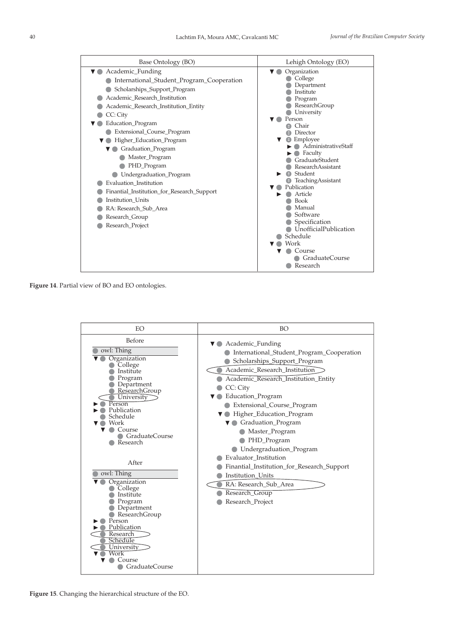| Base Ontology (BO)                                                                                                                                                                                                                                                                                                                                                                                                                                                                                                                                    | Lehigh Ontology (EO)                                                                                                                                                                                                                                                                                                                                                                                              |
|-------------------------------------------------------------------------------------------------------------------------------------------------------------------------------------------------------------------------------------------------------------------------------------------------------------------------------------------------------------------------------------------------------------------------------------------------------------------------------------------------------------------------------------------------------|-------------------------------------------------------------------------------------------------------------------------------------------------------------------------------------------------------------------------------------------------------------------------------------------------------------------------------------------------------------------------------------------------------------------|
| Academic_Funding<br>$\blacktriangledown$ $\Box$<br>International_Student_Program_Cooperation<br>Scholarships_Support_Program<br>Academic Research Institution<br>Academic_Research_Institution_Entity<br>CC: City<br>Education_Program<br>Extensional_Course_Program<br>Higher_Education_Program<br>Graduation_Program<br>Master_Program<br>PHD_Program<br>Undergraduation_Program<br>Evaluation Institution<br>Finantial_Institution_for_Research_Support<br><b>Institution Units</b><br>RA: Research Sub Area<br>Research_Group<br>Research_Project | Organization<br>College<br>Department<br>Institute<br>Program<br>ResearchGroup<br>University<br>Person<br>Chair<br>Director<br>Employee<br>AdministrativeStaff<br>Faculty<br>GraduateStudent<br>ResearchAssistant<br>Student<br>TeachingAssistant<br>Publication<br>Article<br><b>Book</b><br>Manual<br>Software<br>Specification<br><b>UnofficialPublication</b><br>Schedule<br>Work<br>Course<br>GraduateCourse |
|                                                                                                                                                                                                                                                                                                                                                                                                                                                                                                                                                       | Research                                                                                                                                                                                                                                                                                                                                                                                                          |

**Figure 14**. Partial view of BO and EO ontologies.



**Figure 15**. Changing the hierarchical structure of the EO.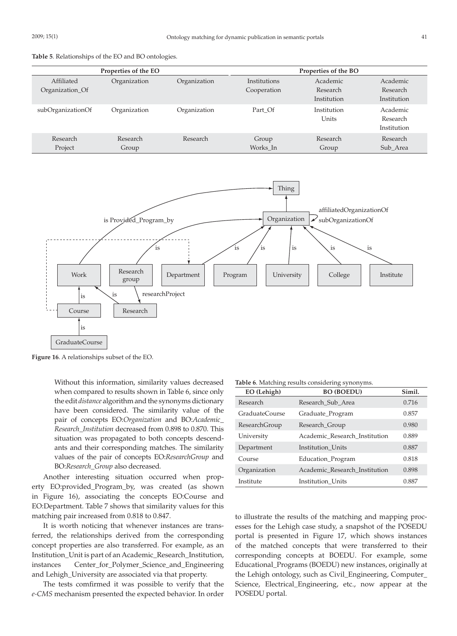#### **Table 5**. Relationships of the EO and BO ontologies.

|                               | Properties of the EO |              | Properties of the BO        |                                     |                                     |  |  |
|-------------------------------|----------------------|--------------|-----------------------------|-------------------------------------|-------------------------------------|--|--|
| Affiliated<br>Organization_Of | Organization         | Organization | Institutions<br>Cooperation | Academic<br>Research<br>Institution | Academic<br>Research<br>Institution |  |  |
| subOrganizationOf             | Organization         | Organization | Part Of                     | Institution<br>Units                | Academic<br>Research<br>Institution |  |  |
| Research<br>Project           | Research<br>Group    | Research     | Group<br>Works In           | Research<br>Group                   | Research<br>Sub Area                |  |  |



**Figure 16**. A relationships subset of the EO.

Without this information, similarity values decreased when compared to results shown in Table 6, since only the edit *distance* algorithm and the synonyms dictionary have been considered. The similarity value of the pair of concepts EO:*Organization* and BO:*Academic\_ Research\_Institution* decreased from 0.898 to 0.870. This situation was propagated to both concepts descendants and their corresponding matches. The similarity values of the pair of concepts EO:*ResearchGroup* and BO:*Research\_Group* also decreased*.*

Another interesting situation occurred when property EO:provided\_Program\_by, was created (as shown in Figure 16), associating the concepts EO:Course and EO:Department. Table 7 shows that similarity values for this matching pair increased from 0.818 to 0.847.

It is worth noticing that whenever instances are transferred, the relationships derived from the corresponding concept properties are also transferred. For example, as an Institution\_Unit is part of an Academic\_Research\_Institution, instances Center\_for\_Polymer\_Science\_and\_Engineering and Lehigh\_University are associated via that property.

The tests comfirmed it was possible to verify that the *e-CMS* mechanism presented the expected behavior. In order

| Table 6. Matching results considering synonyms. |  |  |
|-------------------------------------------------|--|--|
|-------------------------------------------------|--|--|

| EO (Lehigh)    | <b>BO (BOEDU)</b>             | Simil. |
|----------------|-------------------------------|--------|
| Research       | Research Sub Area             | 0.716  |
| GraduateCourse | Graduate_Program              | 0.857  |
| ResearchGroup  | Research_Group                | 0.980  |
| University     | Academic_Research_Institution | 0.889  |
| Department     | Institution Units             | 0.887  |
| Course         | Education_Program             | 0.818  |
| Organization   | Academic_Research_Institution | 0.898  |
| Institute      | Institution Units             | 0.887  |

to illustrate the results of the matching and mapping processes for the Lehigh case study, a snapshot of the POSEDU portal is presented in Figure 17, which shows instances of the matched concepts that were transferred to their corresponding concepts at BOEDU. For example, some Educational\_Programs (BOEDU) new instances, originally at the Lehigh ontology, such as Civil\_Engineering, Computer\_ Science, Electrical\_Engineering, etc., now appear at the POSEDU portal.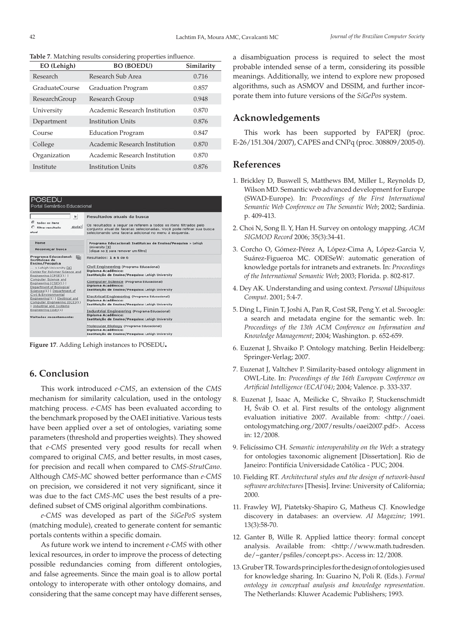| EO (Lehigh)    | <b>BO (BOEDU)</b>             | Similarity |
|----------------|-------------------------------|------------|
| Research       | Research Sub Area             | 0.716      |
| GraduateCourse | <b>Graduation Program</b>     | 0.857      |
| ResearchGroup  | Research Group                | 0.948      |
| University     | Academic Research Institution | 0.870      |
| Department     | Institution Units             | 0.876      |
| Course         | <b>Education Program</b>      | 0.847      |
| College        | Academic Research Institution | 0.870      |
| Organization   | Academic Research Institution | 0.870      |
| Institute      | Institution Units             | 0.876      |

**Table 7**. Matching results considering properties influence.

| ir                                                                                                                                                                                                                                  | Resultados atuais da busca                                                                                                                                                                                     |  |  |  |  |
|-------------------------------------------------------------------------------------------------------------------------------------------------------------------------------------------------------------------------------------|----------------------------------------------------------------------------------------------------------------------------------------------------------------------------------------------------------------|--|--|--|--|
| a<br>todos os itens<br>sluda?<br>filtrar resultado.<br><b>Atual</b>                                                                                                                                                                 | Os resultados a seguir se referem a todos os itens filtrados pelo<br>conjunto atual de facetas selecionadas. Você pode refinar sua busca<br>selecionando uma faceta adicional no menu à esquerda.              |  |  |  |  |
| Home                                                                                                                                                                                                                                | Programa Educacional: Instituicao de Ensino/Pesquisa > Lehigh                                                                                                                                                  |  |  |  |  |
| Recomeçar busca                                                                                                                                                                                                                     | University [X]<br>[clique no X para remover um filtro]                                                                                                                                                         |  |  |  |  |
| Programa Educacional:<br>胎<br>Instituicao de<br>Ensino/Pesquisa<br>> Lehigh University [X]<br>Center for Polymer Science and<br>Engineering (CPSE)(1)  <br>Computer Science and<br>Engineering (CSE)(1)<br>Department of Biological | Resultados: 1 a 6 de 6<br>Civil Engineering (Programa Educacional)<br>Diploma Acadêmico:<br>Instituição de Ensino/Pesquisa: Lehigh University<br>Computer Science (Programa Educacional)<br>Diploma Acadêmico: |  |  |  |  |
| Sciences(1)   Department of<br>Civil & Environmental<br>Engineering(1)   Electrical and<br>Computer Engineering (ECE)(1)<br>I Industrial and Systems                                                                                | Instituição de Ensino/Pesquisa: Lehigh University<br><b>Electrical Engineering (Programa Educacional)</b><br>Diploma Acadêmico:<br>Instituição de Ensino/Pesquisa: Lehigh University                           |  |  |  |  |
| Engineering (ISE)(1)<br>Visitados recentemente:                                                                                                                                                                                     | <b>Industrial Engineering (Programa Educacional)</b><br>Diploma Acadêmico:<br>Instituição de Ensino/Pesquisa: Lehigh University                                                                                |  |  |  |  |
|                                                                                                                                                                                                                                     | Molecular Biology (Programa Educacional)<br>Diploma Académico:<br>Instituição de Ensino/Pesquisa: Lehigh University                                                                                            |  |  |  |  |

**Figure 17**. Adding Lehigh instances to POSEDU**.**

# **6. Conclusion**

This work introduced *e-CMS*, an extension of the *CMS* mechanism for similarity calculation, used in the ontology matching process. *e-CMS* has been evaluated according to the benchmark proposed by the OAEI initiative. Various tests have been applied over a set of ontologies, variating some parameters (threshold and properties weights). They showed that *e-CMS* presented very good results for recall when compared to original *CMS*, and better results, in most cases, for precision and recall when compared to *CMS-StrutCano*. Although *CMS*-*MC* showed better performance than *e-CMS* on precision, we considered it not very significant, since it was due to the fact *CMS-MC* uses the best results of a predefined subset of CMS original algorithm combinations.

*e-CMS* was developed as part of the *SiGePoS* system (matching module), created to generate content for semantic portals contents within a specific domain.

As future work we intend to increment *e-CMS* with other lexical resources, in order to improve the process of detecting possible redundancies coming from different ontologies, and false agreements. Since the main goal is to allow portal ontology to interoperate with other ontology domains, and considering that the same concept may have different senses,

a disambiguation process is required to select the most probable intended sense of a term, considering its possible meanings. Additionally, we intend to explore new proposed algorithms, such as ASMOV and DSSIM, and further incorporate them into future versions of the *SiGePos* system.

## **Acknowledgements**

This work has been supported by FAPERJ (proc. E-26/151.304/2007), CAPES and CNPq (proc. 308809/2005-0).

## **References**

- 1. Brickley D, Buswell S, Matthews BM, Miller L, Reynolds D, Wilson MD. Semantic web advanced development for Europe (SWAD-Europe). In: *Proceedings of the First International Semantic Web Conference on The Semantic Web; 2002; Sardinia.* p. 409-413.
- 2. Choi N, Song Il. Y, Han H. Survey on ontology mapping. *ACM 3)'-/\$2ECORD* 2006; 35(3):34-41.
- 3. Corcho O, Gómez-Pérez A, López-Cima A, López-Garcia V, Suárez-Figueroa MC. ODESeW: automatic generation of knowledge portals for intranets and extranets. In: *Proceedings*  of the International Semantic Web; 2003; Florida. p. 802-817.
- 4. Dey AK. Understanding and using context. *Personal Ubiquitous Comput*. 2001; 5:4-7.
- 5. Ding L, Finin T, Joshi A, Pan R, Cost SR, Peng Y. et al. Swoogle: a search and metadata engine for the semantic web. In: *Proceedings of the 13th ACM Conference on Information and Knowledge Management*; 2004; Washington. p. 652-659.
- 6. Euzenat J, Shvaiko P. Ontology matching. Berlin Heidelberg: Springer-Verlag; 2007.
- 7. Euzenat J, Valtchev P. Similarity-based ontology alignment in OWL-Lite. In: *Proceedings of the 16th European Conference on Artificial Intelligence (ECAI'04)*; 2004; Valence. p. 333-337.
- 8. Euzenat J, Isaac A, Meilicke C, Shvaiko P, Stuckenschmidt H, Šváb O. et al. First results of the ontology alignment evaluation initiative 2007. Available from: <http://oaei. ontologymatching.org/2007/results/oaei2007.pdf>. Access in: 12/2008.
- 9. Felicíssimo CH. Semantic interoperability on the Web: a strategy for ontologies taxonomic alignement [Dissertation]. Rio de Janeiro: Pontifícia Universidade Católica - PUC; 2004.
- 10. Fielding RT. *Architectural styles and the design of network-based software architectures* [Thesis]. Irvine: University of California; 2000.
- 11. Frawley WJ, Piatetsky-Shapiro G, Matheus CJ. Knowledge discovery in databases: an overview. *AI Magazine*; 1991. 13(3):58-70.
- 12. Ganter B, Wille R. Applied lattice theory: formal concept analysis. Available from: <http://www.math.tudresden. de/~ganter/psfiles/concept.ps>. Access in: 12/2008.
- 13. Gruber TR. Towards principles for the design of ontologies used for knowledge sharing. In: Guarino N, Poli R. (Eds.). *Formal ontology in conceptual analysis and knowledge representation*. The Netherlands: Kluwer Academic Publishers; 1993.